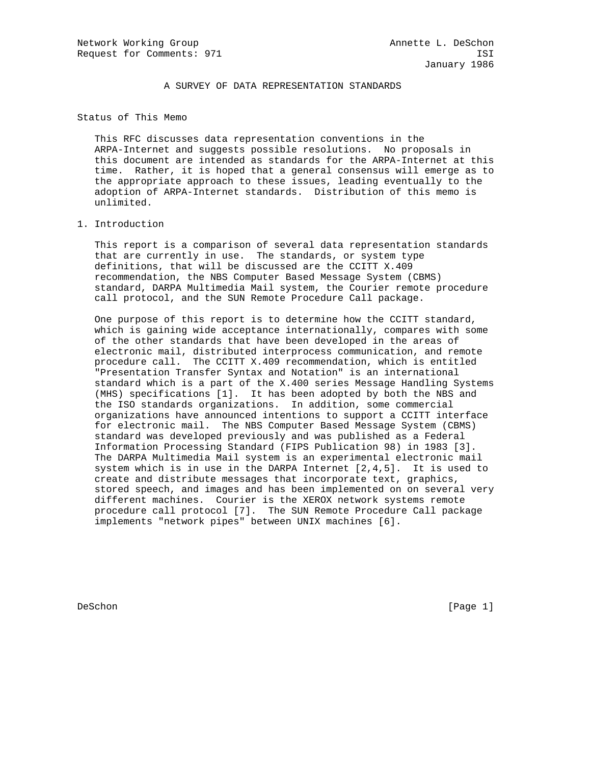A SURVEY OF DATA REPRESENTATION STANDARDS

Status of This Memo

 This RFC discusses data representation conventions in the ARPA-Internet and suggests possible resolutions. No proposals in this document are intended as standards for the ARPA-Internet at this time. Rather, it is hoped that a general consensus will emerge as to the appropriate approach to these issues, leading eventually to the adoption of ARPA-Internet standards. Distribution of this memo is unlimited.

### 1. Introduction

 This report is a comparison of several data representation standards that are currently in use. The standards, or system type definitions, that will be discussed are the CCITT X.409 recommendation, the NBS Computer Based Message System (CBMS) standard, DARPA Multimedia Mail system, the Courier remote procedure call protocol, and the SUN Remote Procedure Call package.

 One purpose of this report is to determine how the CCITT standard, which is gaining wide acceptance internationally, compares with some of the other standards that have been developed in the areas of electronic mail, distributed interprocess communication, and remote procedure call. The CCITT X.409 recommendation, which is entitled "Presentation Transfer Syntax and Notation" is an international standard which is a part of the X.400 series Message Handling Systems (MHS) specifications [1]. It has been adopted by both the NBS and the ISO standards organizations. In addition, some commercial organizations have announced intentions to support a CCITT interface for electronic mail. The NBS Computer Based Message System (CBMS) standard was developed previously and was published as a Federal Information Processing Standard (FIPS Publication 98) in 1983 [3]. The DARPA Multimedia Mail system is an experimental electronic mail system which is in use in the DARPA Internet [2,4,5]. It is used to create and distribute messages that incorporate text, graphics, stored speech, and images and has been implemented on on several very different machines. Courier is the XEROX network systems remote procedure call protocol [7]. The SUN Remote Procedure Call package implements "network pipes" between UNIX machines [6].

DeSchon [Page 1]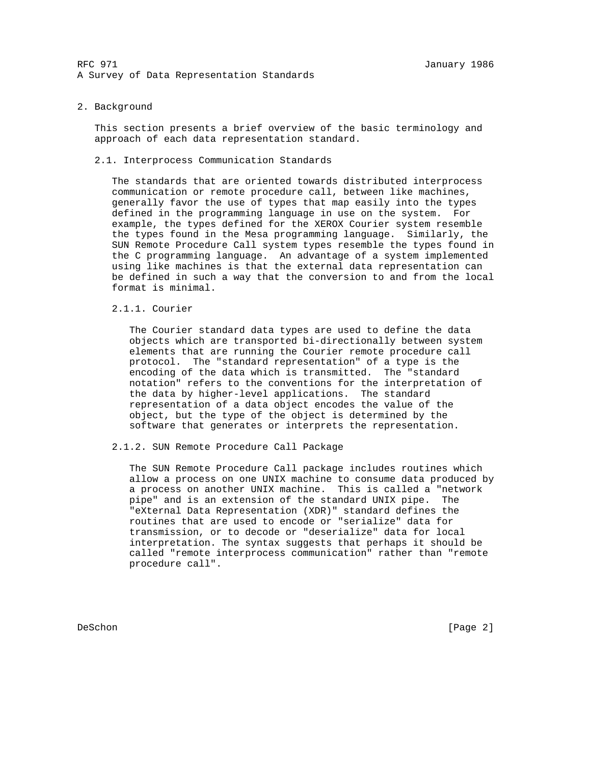#### 2. Background

 This section presents a brief overview of the basic terminology and approach of each data representation standard.

### 2.1. Interprocess Communication Standards

 The standards that are oriented towards distributed interprocess communication or remote procedure call, between like machines, generally favor the use of types that map easily into the types defined in the programming language in use on the system. For example, the types defined for the XEROX Courier system resemble the types found in the Mesa programming language. Similarly, the SUN Remote Procedure Call system types resemble the types found in the C programming language. An advantage of a system implemented using like machines is that the external data representation can be defined in such a way that the conversion to and from the local format is minimal.

# 2.1.1. Courier

 The Courier standard data types are used to define the data objects which are transported bi-directionally between system elements that are running the Courier remote procedure call protocol. The "standard representation" of a type is the encoding of the data which is transmitted. The "standard notation" refers to the conventions for the interpretation of the data by higher-level applications. The standard representation of a data object encodes the value of the object, but the type of the object is determined by the software that generates or interprets the representation.

2.1.2. SUN Remote Procedure Call Package

 The SUN Remote Procedure Call package includes routines which allow a process on one UNIX machine to consume data produced by a process on another UNIX machine. This is called a "network pipe" and is an extension of the standard UNIX pipe. The "eXternal Data Representation (XDR)" standard defines the routines that are used to encode or "serialize" data for transmission, or to decode or "deserialize" data for local interpretation. The syntax suggests that perhaps it should be called "remote interprocess communication" rather than "remote procedure call".

DeSchon [Page 2]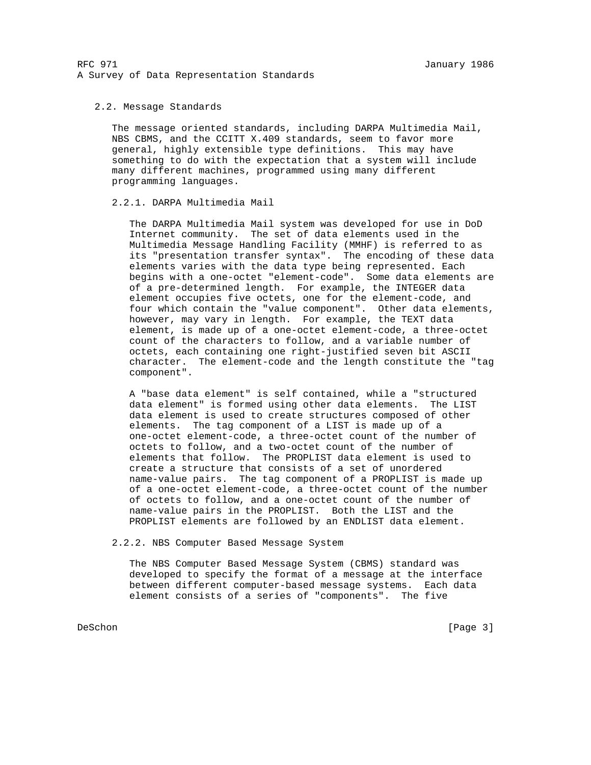## 2.2. Message Standards

 The message oriented standards, including DARPA Multimedia Mail, NBS CBMS, and the CCITT X.409 standards, seem to favor more general, highly extensible type definitions. This may have something to do with the expectation that a system will include many different machines, programmed using many different programming languages.

## 2.2.1. DARPA Multimedia Mail

 The DARPA Multimedia Mail system was developed for use in DoD Internet community. The set of data elements used in the Multimedia Message Handling Facility (MMHF) is referred to as its "presentation transfer syntax". The encoding of these data elements varies with the data type being represented. Each begins with a one-octet "element-code". Some data elements are of a pre-determined length. For example, the INTEGER data element occupies five octets, one for the element-code, and four which contain the "value component". Other data elements, however, may vary in length. For example, the TEXT data element, is made up of a one-octet element-code, a three-octet count of the characters to follow, and a variable number of octets, each containing one right-justified seven bit ASCII character. The element-code and the length constitute the "tag component".

 A "base data element" is self contained, while a "structured data element" is formed using other data elements. The LIST data element is used to create structures composed of other elements. The tag component of a LIST is made up of a one-octet element-code, a three-octet count of the number of octets to follow, and a two-octet count of the number of elements that follow. The PROPLIST data element is used to create a structure that consists of a set of unordered name-value pairs. The tag component of a PROPLIST is made up of a one-octet element-code, a three-octet count of the number of octets to follow, and a one-octet count of the number of name-value pairs in the PROPLIST. Both the LIST and the PROPLIST elements are followed by an ENDLIST data element.

2.2.2. NBS Computer Based Message System

 The NBS Computer Based Message System (CBMS) standard was developed to specify the format of a message at the interface between different computer-based message systems. Each data element consists of a series of "components". The five

DeSchon [Page 3]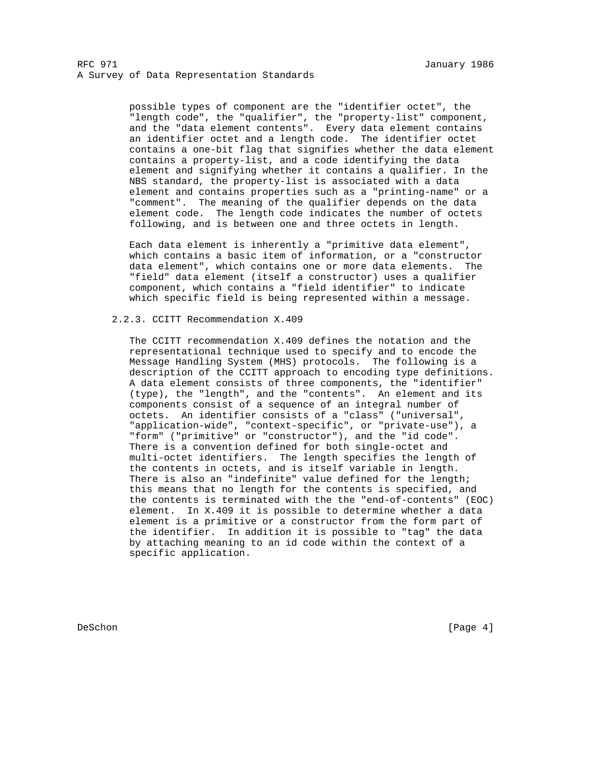possible types of component are the "identifier octet", the "length code", the "qualifier", the "property-list" component, and the "data element contents". Every data element contains an identifier octet and a length code. The identifier octet contains a one-bit flag that signifies whether the data element contains a property-list, and a code identifying the data element and signifying whether it contains a qualifier. In the NBS standard, the property-list is associated with a data element and contains properties such as a "printing-name" or a "comment". The meaning of the qualifier depends on the data element code. The length code indicates the number of octets following, and is between one and three octets in length.

 Each data element is inherently a "primitive data element", which contains a basic item of information, or a "constructor data element", which contains one or more data elements. The "field" data element (itself a constructor) uses a qualifier component, which contains a "field identifier" to indicate which specific field is being represented within a message.

# 2.2.3. CCITT Recommendation X.409

 The CCITT recommendation X.409 defines the notation and the representational technique used to specify and to encode the Message Handling System (MHS) protocols. The following is a description of the CCITT approach to encoding type definitions. A data element consists of three components, the "identifier" (type), the "length", and the "contents". An element and its components consist of a sequence of an integral number of octets. An identifier consists of a "class" ("universal", "application-wide", "context-specific", or "private-use"), a "form" ("primitive" or "constructor"), and the "id code". There is a convention defined for both single-octet and multi-octet identifiers. The length specifies the length of the contents in octets, and is itself variable in length. There is also an "indefinite" value defined for the length; this means that no length for the contents is specified, and the contents is terminated with the the "end-of-contents" (EOC) element. In X.409 it is possible to determine whether a data element is a primitive or a constructor from the form part of the identifier. In addition it is possible to "tag" the data by attaching meaning to an id code within the context of a specific application.

DeSchon [Page 4]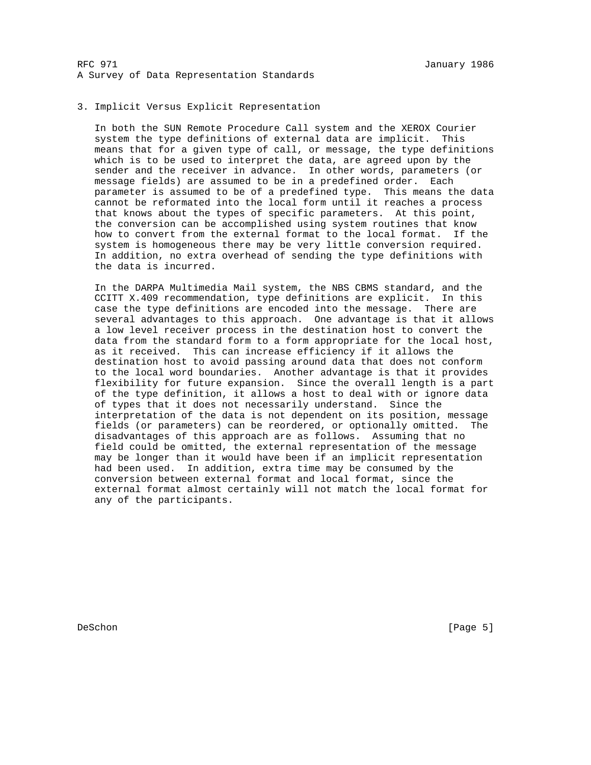## 3. Implicit Versus Explicit Representation

 In both the SUN Remote Procedure Call system and the XEROX Courier system the type definitions of external data are implicit. This means that for a given type of call, or message, the type definitions which is to be used to interpret the data, are agreed upon by the sender and the receiver in advance. In other words, parameters (or message fields) are assumed to be in a predefined order. Each parameter is assumed to be of a predefined type. This means the data cannot be reformated into the local form until it reaches a process that knows about the types of specific parameters. At this point, the conversion can be accomplished using system routines that know how to convert from the external format to the local format. If the system is homogeneous there may be very little conversion required. In addition, no extra overhead of sending the type definitions with the data is incurred.

 In the DARPA Multimedia Mail system, the NBS CBMS standard, and the CCITT X.409 recommendation, type definitions are explicit. In this case the type definitions are encoded into the message. There are several advantages to this approach. One advantage is that it allows a low level receiver process in the destination host to convert the data from the standard form to a form appropriate for the local host, as it received. This can increase efficiency if it allows the destination host to avoid passing around data that does not conform to the local word boundaries. Another advantage is that it provides flexibility for future expansion. Since the overall length is a part of the type definition, it allows a host to deal with or ignore data of types that it does not necessarily understand. Since the interpretation of the data is not dependent on its position, message fields (or parameters) can be reordered, or optionally omitted. The disadvantages of this approach are as follows. Assuming that no field could be omitted, the external representation of the message may be longer than it would have been if an implicit representation had been used. In addition, extra time may be consumed by the conversion between external format and local format, since the external format almost certainly will not match the local format for any of the participants.

DeSchon [Page 5]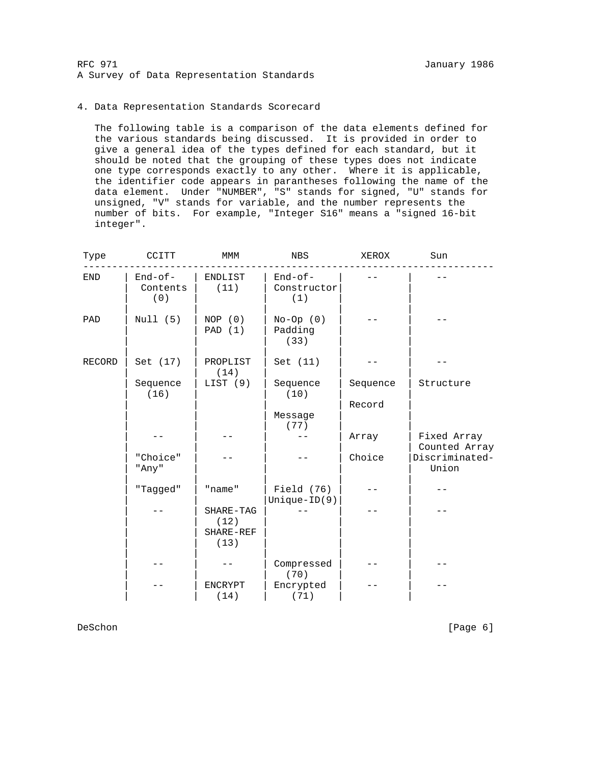# 4. Data Representation Standards Scorecard

 The following table is a comparison of the data elements defined for the various standards being discussed. It is provided in order to give a general idea of the types defined for each standard, but it should be noted that the grouping of these types does not indicate one type corresponds exactly to any other. Where it is applicable, the identifier code appears in parantheses following the name of the data element. Under "NUMBER", "S" stands for signed, "U" stands for unsigned, "V" stands for variable, and the number represents the number of bits. For example, "Integer S16" means a "signed 16-bit integer".

| Type        | CCITT                        | MMM                                    | NBS                           | XEROX    | Sun                          |
|-------------|------------------------------|----------------------------------------|-------------------------------|----------|------------------------------|
| ${\rm END}$ | $End-of-$<br>Contents<br>(0) | ENDLIST<br>(11)                        | End-of-<br>Constructor<br>(1) |          |                              |
| PAD         | Null (5)                     | NOP (0)<br>PAD (1)                     | $No-Op(0)$<br>Padding<br>(33) |          |                              |
| RECORD      | Set (17)                     | PROPLIST<br>(14)                       | Set (11)                      |          |                              |
|             | Sequence<br>(16)             | LIST (9)                               | Sequence<br>(10)              | Sequence | Structure                    |
|             |                              |                                        |                               | Record   |                              |
|             |                              |                                        | Message                       |          |                              |
|             |                              |                                        | (77)                          |          |                              |
|             |                              |                                        |                               | Array    | Fixed Array<br>Counted Array |
|             | "Choice"<br>"Any"            |                                        |                               | Choice   | Discriminated-<br>Union      |
|             | "Tagged"                     | "name"                                 | Field (76)<br>$Unique-ID(9)$  |          |                              |
|             |                              | SHARE-TAG<br>(12)<br>SHARE-REF<br>(13) |                               |          |                              |
|             |                              |                                        | Compressed<br>(70)            |          |                              |
|             |                              | <b>ENCRYPT</b><br>(14)                 | Encrypted<br>(71)             |          |                              |

DeSchon [Page 6]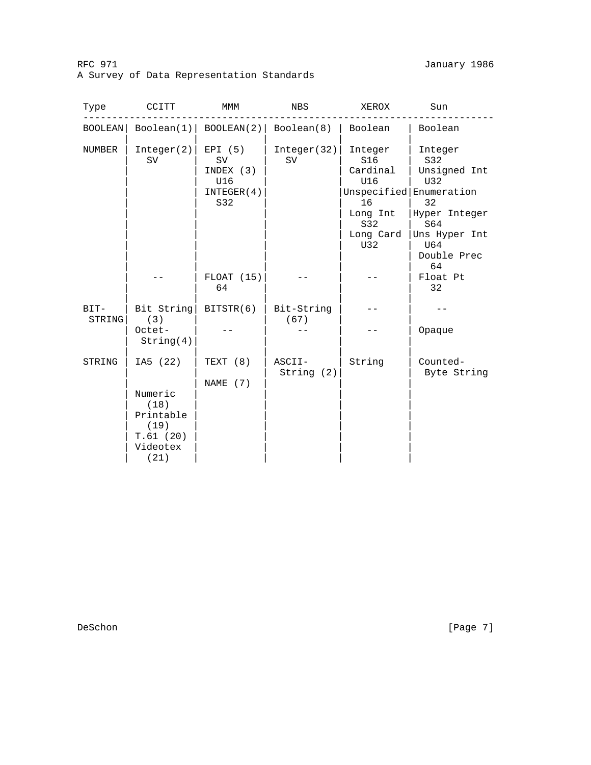# RFC 971 January 1986 A Survey of Data Representation Standards

| Type           | CCITT                                                                            | MMM                                                    | NBS                     | XEROX                                                                          | Sun                                                                                                                                         |
|----------------|----------------------------------------------------------------------------------|--------------------------------------------------------|-------------------------|--------------------------------------------------------------------------------|---------------------------------------------------------------------------------------------------------------------------------------------|
| BOOLEAN        | Boolean(1)                                                                       |                                                        | BOOLEAN(2)   Boolean(8) | Boolean                                                                        | Boolean                                                                                                                                     |
| NUMBER         | Integer(2)<br>SV                                                                 | EPI (5)<br>SV<br>INDEX (3)<br>U16<br>INTEGER(4)<br>S32 | Integer(32)<br>SV       | Integer<br>S16<br>Cardinal<br>U16<br>16<br>Long Int<br>S32<br>Long Card<br>U32 | Integer<br>S32<br>Unsigned Int<br>U32<br>Unspecified Enumeration<br>32<br>Hyper Integer<br>S64<br>Uns Hyper Int<br>U64<br>Double Prec<br>64 |
|                |                                                                                  | $FLOAT$ (15)<br>64                                     |                         |                                                                                | Float Pt<br>32                                                                                                                              |
| BIT-<br>STRING | Bit String<br>(3)                                                                | BITSTR(6)                                              | Bit-String<br>(67)      |                                                                                |                                                                                                                                             |
|                | Octet-<br>String(4)                                                              |                                                        |                         |                                                                                | Opaque                                                                                                                                      |
| STRING         | IA5 (22)<br>Numeric<br>(18)<br>Printable<br>(19)<br>T.61(20)<br>Videotex<br>(21) | TEXT (8)<br>NAME $(7)$                                 | ASCII-<br>String(2)     | String                                                                         | Counted-<br>Byte String                                                                                                                     |

DeSchon [Page 7]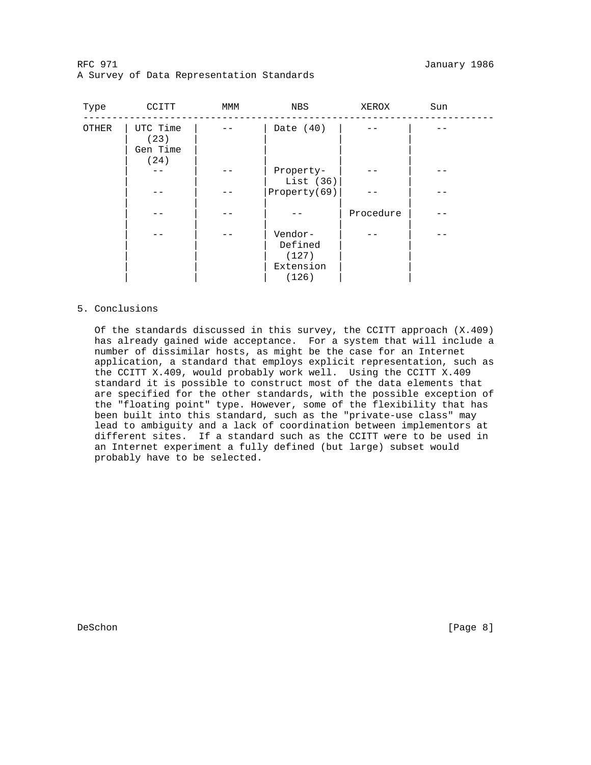RFC 971 January 1986 A Survey of Data Representation Standards

| Type  | CCITT                                | MMM | NBS                                               | XEROX     | Sun |
|-------|--------------------------------------|-----|---------------------------------------------------|-----------|-----|
| OTHER | UTC Time<br>(23)<br>Gen Time<br>(24) |     | Date $(40)$                                       |           |     |
|       |                                      |     | Property-<br>List $(36)$                          |           |     |
|       |                                      |     | Property(69)                                      |           |     |
|       |                                      |     |                                                   | Procedure |     |
|       |                                      |     | Vendor-<br>Defined<br>(127)<br>Extension<br>(126) |           |     |

# 5. Conclusions

 Of the standards discussed in this survey, the CCITT approach (X.409) has already gained wide acceptance. For a system that will include a number of dissimilar hosts, as might be the case for an Internet application, a standard that employs explicit representation, such as the CCITT X.409, would probably work well. Using the CCITT X.409 standard it is possible to construct most of the data elements that are specified for the other standards, with the possible exception of the "floating point" type. However, some of the flexibility that has been built into this standard, such as the "private-use class" may lead to ambiguity and a lack of coordination between implementors at different sites. If a standard such as the CCITT were to be used in an Internet experiment a fully defined (but large) subset would probably have to be selected.

DeSchon [Page 8]